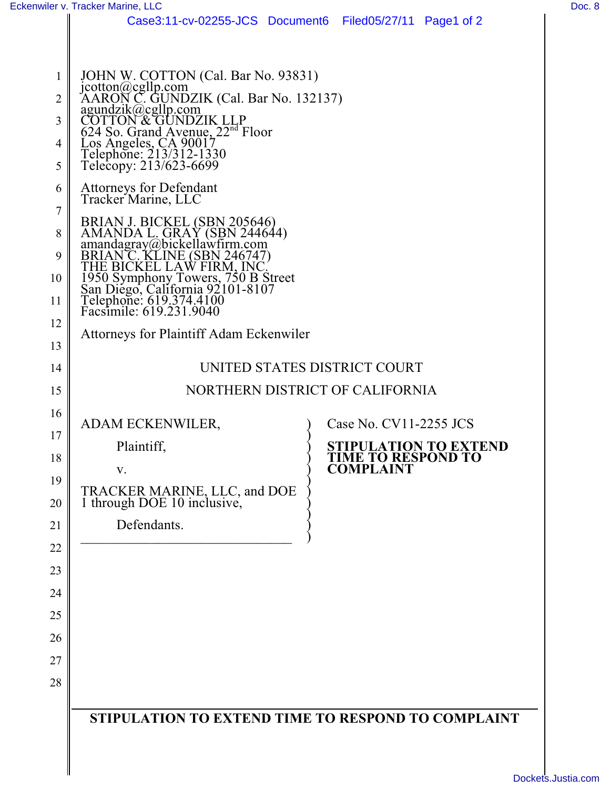26

27

28

|                                | Eckenwiler v. Tracker Marine, LLC                                                                                                                                                                                                                                |                                                     | Doc. 8 |
|--------------------------------|------------------------------------------------------------------------------------------------------------------------------------------------------------------------------------------------------------------------------------------------------------------|-----------------------------------------------------|--------|
|                                | Case3:11-cv-02255-JCS Document6 Filed05/27/11 Page1 of 2                                                                                                                                                                                                         |                                                     |        |
|                                |                                                                                                                                                                                                                                                                  |                                                     |        |
| $\mathbf{1}$<br>$\overline{2}$ | JOHN W. COTTON (Cal. Bar No. 93831)<br>jcotton@cgllp.com<br>AARON C. GUNDZIK (Cal. Bar No. 132137)<br>agundzik@cgllp.com<br>COTTON & GUNDZIK LLP<br>624 So. Grand Avenue, 22 <sup>nd</sup> Floor<br>Los Angeles, CA 90017<br>Telephone: 213/312-1330<br>Telecopy |                                                     |        |
| 3                              |                                                                                                                                                                                                                                                                  |                                                     |        |
| $\overline{4}$<br>5            |                                                                                                                                                                                                                                                                  |                                                     |        |
| 6                              | <b>Attorneys for Defendant</b><br>Tracker Marine, LLC                                                                                                                                                                                                            |                                                     |        |
| $\tau$<br>8                    | BRIAN J. BICKEL (SBN 205646)<br>AMANDA L. GRAY (SBN 244644)<br>amandagray@bickellawfirm.com<br>BRIAN C. KLINE (SBN 246747)<br>THE BICKEL LAW FIRM, INC.<br>1950 Symphony Towers, 750 B Street<br>San Diego, California 92101-8107<br>Telephone: 619              |                                                     |        |
| 9                              |                                                                                                                                                                                                                                                                  |                                                     |        |
| 10                             |                                                                                                                                                                                                                                                                  |                                                     |        |
| 11                             |                                                                                                                                                                                                                                                                  |                                                     |        |
| 12<br>13                       | <b>Attorneys for Plaintiff Adam Eckenwiler</b>                                                                                                                                                                                                                   |                                                     |        |
| 14                             | UNITED STATES DISTRICT COURT                                                                                                                                                                                                                                     |                                                     |        |
| 15                             | NORTHERN DISTRICT OF CALIFORNIA                                                                                                                                                                                                                                  |                                                     |        |
| 16                             |                                                                                                                                                                                                                                                                  |                                                     |        |
| 17                             | ADAM ECKENWILER,                                                                                                                                                                                                                                                 | Case No. CV11-2255 JCS                              |        |
| 18                             | Plaintiff,                                                                                                                                                                                                                                                       | <b>STIPULATION TO EXTEND<br/>TIME TO RESPOND TO</b> |        |
| 19                             | V.                                                                                                                                                                                                                                                               | <b>COMPLAINT</b>                                    |        |
| 20                             | TRACKER MARINE, LLC, and DOE 1 through DOE 10 inclusive,                                                                                                                                                                                                         |                                                     |        |
| 21                             | Defendants.                                                                                                                                                                                                                                                      |                                                     |        |
| 22                             |                                                                                                                                                                                                                                                                  |                                                     |        |
| 23                             |                                                                                                                                                                                                                                                                  |                                                     |        |
| 24                             |                                                                                                                                                                                                                                                                  |                                                     |        |
| 25                             |                                                                                                                                                                                                                                                                  |                                                     |        |

**STIPULATION TO EXTEND TIME TO RESPOND TO COMPLAINT**